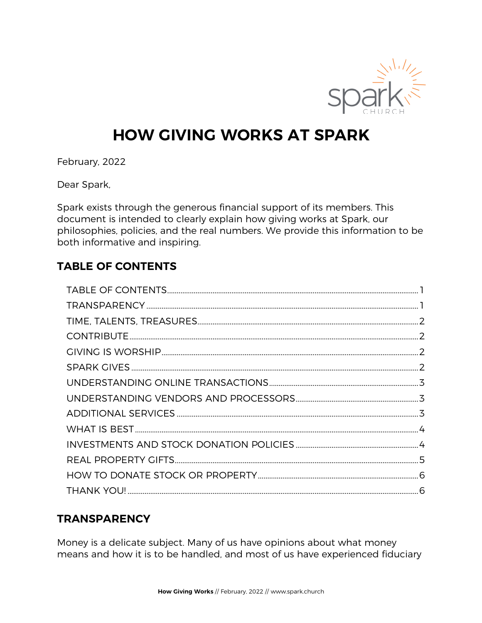

# **HOW GIVING WORKS AT SPARK**

February, 2022

Dear Spark,

Spark exists through the generous financial support of its members. This document is intended to clearly explain how giving works at Spark, our philosophies, policies, and the real numbers. We provide this information to be both informative and inspiring.

## **TABLE OF CONTENTS**

# **TRANSPARENCY**

Money is a delicate subject. Many of us have opinions about what money means and how it is to be handled, and most of us have experienced fiduciary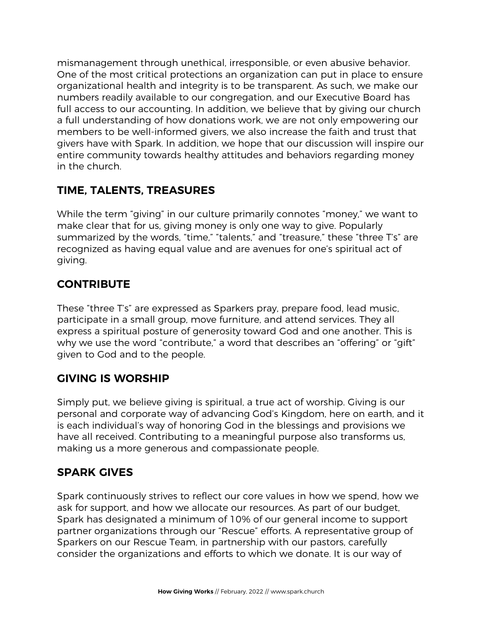mismanagement through unethical, irresponsible, or even abusive behavior. One of the most critical protections an organization can put in place to ensure organizational health and integrity is to be transparent. As such, we make our numbers readily available to our congregation, and our Executive Board has full access to our accounting. In addition, we believe that by giving our church a full understanding of how donations work, we are not only empowering our members to be well-informed givers, we also increase the faith and trust that givers have with Spark. In addition, we hope that our discussion will inspire our entire community towards healthy attitudes and behaviors regarding money in the church.

# **TIME, TALENTS, TREASURES**

While the term "giving" in our culture primarily connotes "money," we want to make clear that for us, giving money is only one way to give. Popularly summarized by the words, "time," "talents," and "treasure," these "three T's" are recognized as having equal value and are avenues for one's spiritual act of giving.

# **CONTRIBUTE**

These "three T's" are expressed as Sparkers pray, prepare food, lead music, participate in a small group, move furniture, and attend services. They all express a spiritual posture of generosity toward God and one another. This is why we use the word "contribute," a word that describes an "offering" or "gift" given to God and to the people.

## **GIVING IS WORSHIP**

Simply put, we believe giving is spiritual, a true act of worship. Giving is our personal and corporate way of advancing God's Kingdom, here on earth, and it is each individual's way of honoring God in the blessings and provisions we have all received. Contributing to a meaningful purpose also transforms us, making us a more generous and compassionate people.

# **SPARK GIVES**

Spark continuously strives to reflect our core values in how we spend, how we ask for support, and how we allocate our resources. As part of our budget, Spark has designated a minimum of 10% of our general income to support partner organizations through our "Rescue" efforts. A representative group of Sparkers on our Rescue Team, in partnership with our pastors, carefully consider the organizations and efforts to which we donate. It is our way of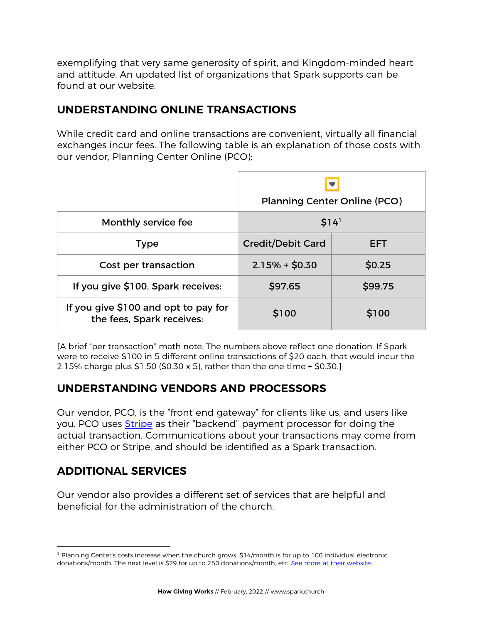exemplifying that very same generosity of spirit, and Kingdom-minded heart and attitude. An updated list of organizations that Spark supports can be found at our website.

## **UNDERSTANDING ONLINE TRANSACTIONS**

While credit card and online transactions are convenient, virtually all financial exchanges incur fees. The following table is an explanation of those costs with our vendor, Planning Center Online (PCO):

|                                                                   | <b>Planning Center Online (PCO)</b> |         |  |
|-------------------------------------------------------------------|-------------------------------------|---------|--|
| Monthly service fee                                               | \$14'                               |         |  |
| <b>Type</b>                                                       | <b>Credit/Debit Card</b>            | EFT     |  |
| Cost per transaction                                              | $2.15% + $0.30$                     | \$0.25  |  |
| If you give \$100, Spark receives:                                | \$97.65                             | \$99.75 |  |
| If you give \$100 and opt to pay for<br>the fees, Spark receives: | \$100                               | \$100   |  |

[A brief "per transaction" math note. The numbers above reflect one donation. If Spark were to receive \$100 in 5 different online transactions of \$20 each, that would incur the 2.15% charge plus \$1.50 (\$0.30 x 5), rather than the one time + \$0.30.]

## **UNDERSTANDING VENDORS AND PROCESSORS**

Our vendor, PCO, is the "front end gateway" for clients like us, and users like you. PCO uses Stripe as their "backend" payment processor for doing the actual transaction. Communications about your transactions may come from either PCO or Stripe, and should be identified as a Spark transaction.

# **ADDITIONAL SERVICES**

Our vendor also provides a different set of services that are helpful and beneficial for the administration of the church.

 $\overline{a}$ <sup>1</sup> Planning Center's costs increase when the church grows. \$14/month is for up to 100 individual electronic donations/month. The next level is \$29 for up to 250 donations/month, etc. See more at their website.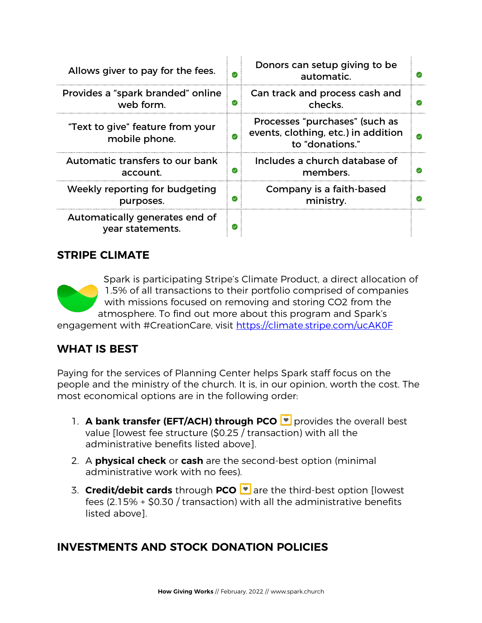| Allows giver to pay for the fees.                  |               | Donors can setup giving to be<br>automatic.                                              |  |
|----------------------------------------------------|---------------|------------------------------------------------------------------------------------------|--|
| Provides a "spark branded" online<br>web form.     | $\bm{\omega}$ | Can track and process cash and<br>checks.                                                |  |
| "Text to give" feature from your<br>mobile phone.  |               | Processes "purchases" (such as<br>events, clothing, etc.) in addition<br>to "donations." |  |
| Automatic transfers to our bank<br>account.        | $\bm{\omega}$ | Includes a church database of<br>members.                                                |  |
| Weekly reporting for budgeting<br>purposes.        | Ø             | Company is a faith-based<br>ministry.                                                    |  |
| Automatically generates end of<br>year statements. |               |                                                                                          |  |

#### **STRIPE CLIMATE**

Spark is participating Stripe's Climate Product, a direct allocation of 1.5% of all transactions to their portfolio comprised of companies with missions focused on removing and storing CO2 from the atmosphere. To find out more about this program and Spark's

engagement with #CreationCare, visit https://climate.stripe.com/ucAK0F

# **WHAT IS BEST**

Paying for the services of Planning Center helps Spark staff focus on the people and the ministry of the church. It is, in our opinion, worth the cost. The most economical options are in the following order:

- 1. **A bank transfer (EFT/ACH) through PCO provides the overall best** value [lowest fee structure (\$0.25 / transaction) with all the administrative benefits listed above].
- 2. A **physical check** or **cash** are the second-best option (minimal administrative work with no fees).
- 3. **Credit/debit cards** through **PCO** are the third-best option [lowest fees (2.15% + \$0.30 / transaction) with all the administrative benefits listed above].

## **INVESTMENTS AND STOCK DONATION POLICIES**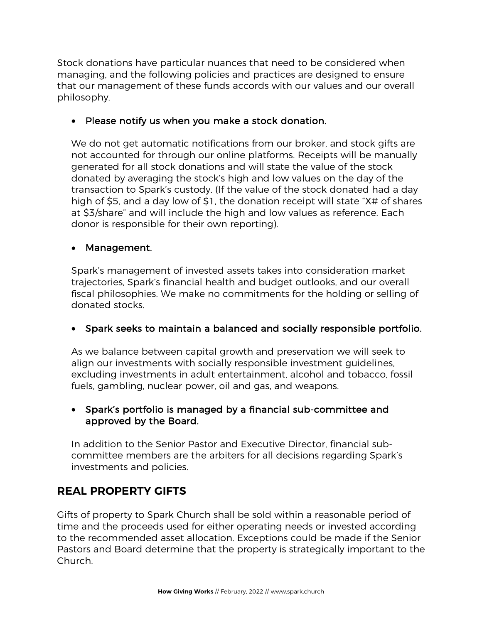Stock donations have particular nuances that need to be considered when managing, and the following policies and practices are designed to ensure that our management of these funds accords with our values and our overall philosophy.

#### • Please notify us when you make a stock donation.

We do not get automatic notifications from our broker, and stock gifts are not accounted for through our online platforms. Receipts will be manually generated for all stock donations and will state the value of the stock donated by averaging the stock's high and low values on the day of the transaction to Spark's custody. (If the value of the stock donated had a day high of \$5, and a day low of \$1, the donation receipt will state "X# of shares at \$3/share" and will include the high and low values as reference. Each donor is responsible for their own reporting).

#### • Management.

Spark's management of invested assets takes into consideration market trajectories, Spark's financial health and budget outlooks, and our overall fiscal philosophies. We make no commitments for the holding or selling of donated stocks.

#### • Spark seeks to maintain a balanced and socially responsible portfolio.

As we balance between capital growth and preservation we will seek to align our investments with socially responsible investment guidelines, excluding investments in adult entertainment, alcohol and tobacco, fossil fuels, gambling, nuclear power, oil and gas, and weapons.

#### • Spark's portfolio is managed by a financial sub-committee and approved by the Board.

In addition to the Senior Pastor and Executive Director, financial subcommittee members are the arbiters for all decisions regarding Spark's investments and policies.

# **REAL PROPERTY GIFTS**

Gifts of property to Spark Church shall be sold within a reasonable period of time and the proceeds used for either operating needs or invested according to the recommended asset allocation. Exceptions could be made if the Senior Pastors and Board determine that the property is strategically important to the Church.